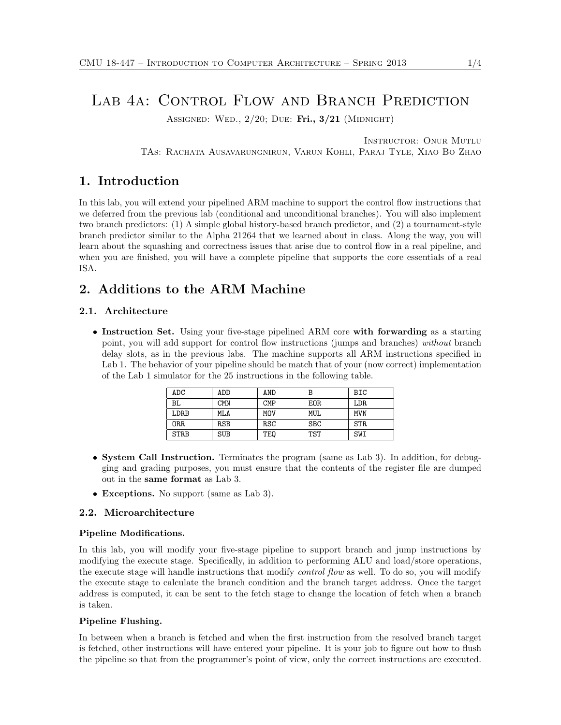# LAB 4A: CONTROL FLOW AND BRANCH PREDICTION

ASSIGNED: WED.,  $2/20$ ; DUE: Fri.,  $3/21$  (MIDNIGHT)

Instructor: Onur Mutlu

TAs: Rachata Ausavarungnirun, Varun Kohli, Paraj Tyle, Xiao Bo Zhao

# 1. Introduction

In this lab, you will extend your pipelined ARM machine to support the control flow instructions that we deferred from the previous lab (conditional and unconditional branches). You will also implement two branch predictors: (1) A simple global history-based branch predictor, and (2) a tournament-style branch predictor similar to the Alpha 21264 that we learned about in class. Along the way, you will learn about the squashing and correctness issues that arise due to control flow in a real pipeline, and when you are finished, you will have a complete pipeline that supports the core essentials of a real ISA.

# 2. Additions to the ARM Machine

### 2.1. Architecture

• Instruction Set. Using your five-stage pipelined ARM core with forwarding as a starting point, you will add support for control flow instructions (jumps and branches) without branch delay slots, as in the previous labs. The machine supports all ARM instructions specified in Lab 1. The behavior of your pipeline should be match that of your (now correct) implementation of the Lab 1 simulator for the 25 instructions in the following table.

| <b>ADC</b>  | ADD        | AND        | В          | BIC  |
|-------------|------------|------------|------------|------|
| BL          | <b>CMN</b> | <b>CMP</b> | EOR.       | LDR. |
| LDRB        | MLA        | MOV        | MUL.       | MVN  |
| 0RR         | <b>RSB</b> | RSC        | <b>SBC</b> | STR. |
| <b>STRB</b> | <b>SUB</b> | TEQ        | TST        | SWI  |

- System Call Instruction. Terminates the program (same as Lab 3). In addition, for debugging and grading purposes, you must ensure that the contents of the register file are dumped out in the same format as Lab 3.
- Exceptions. No support (same as Lab 3).

# 2.2. Microarchitecture

### Pipeline Modifications.

In this lab, you will modify your five-stage pipeline to support branch and jump instructions by modifying the execute stage. Specifically, in addition to performing ALU and load/store operations, the execute stage will handle instructions that modify *control flow* as well. To do so, you will modify the execute stage to calculate the branch condition and the branch target address. Once the target address is computed, it can be sent to the fetch stage to change the location of fetch when a branch is taken.

### Pipeline Flushing.

In between when a branch is fetched and when the first instruction from the resolved branch target is fetched, other instructions will have entered your pipeline. It is your job to figure out how to flush the pipeline so that from the programmer's point of view, only the correct instructions are executed.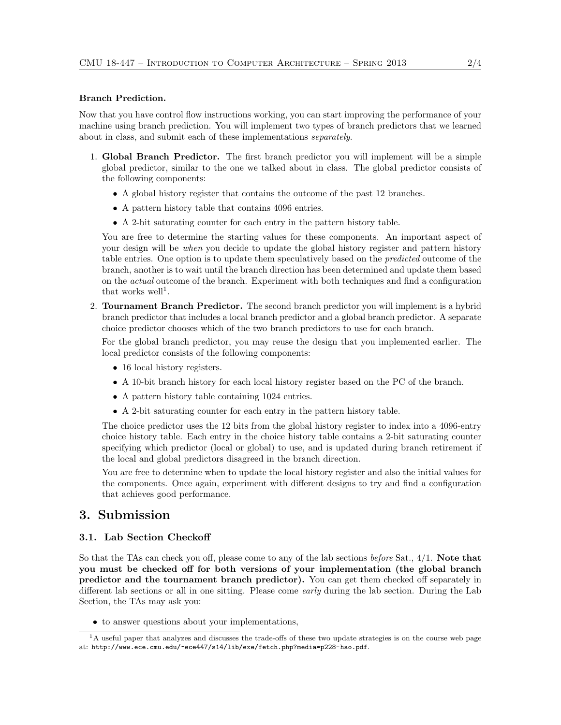#### Branch Prediction.

Now that you have control flow instructions working, you can start improving the performance of your machine using branch prediction. You will implement two types of branch predictors that we learned about in class, and submit each of these implementations separately.

- 1. Global Branch Predictor. The first branch predictor you will implement will be a simple global predictor, similar to the one we talked about in class. The global predictor consists of the following components:
	- A global history register that contains the outcome of the past 12 branches.
	- A pattern history table that contains 4096 entries.
	- A 2-bit saturating counter for each entry in the pattern history table.

You are free to determine the starting values for these components. An important aspect of your design will be when you decide to update the global history register and pattern history table entries. One option is to update them speculatively based on the predicted outcome of the branch, another is to wait until the branch direction has been determined and update them based on the actual outcome of the branch. Experiment with both techniques and find a configuration that works well<sup>1</sup>.

2. Tournament Branch Predictor. The second branch predictor you will implement is a hybrid branch predictor that includes a local branch predictor and a global branch predictor. A separate choice predictor chooses which of the two branch predictors to use for each branch.

For the global branch predictor, you may reuse the design that you implemented earlier. The local predictor consists of the following components:

- 16 local history registers.
- A 10-bit branch history for each local history register based on the PC of the branch.
- A pattern history table containing 1024 entries.
- A 2-bit saturating counter for each entry in the pattern history table.

The choice predictor uses the 12 bits from the global history register to index into a 4096-entry choice history table. Each entry in the choice history table contains a 2-bit saturating counter specifying which predictor (local or global) to use, and is updated during branch retirement if the local and global predictors disagreed in the branch direction.

You are free to determine when to update the local history register and also the initial values for the components. Once again, experiment with different designs to try and find a configuration that achieves good performance.

# 3. Submission

### 3.1. Lab Section Checkoff

So that the TAs can check you off, please come to any of the lab sections *before* Sat.,  $4/1$ . **Note that** you must be checked off for both versions of your implementation (the global branch predictor and the tournament branch predictor). You can get them checked off separately in different lab sections or all in one sitting. Please come early during the lab section. During the Lab Section, the TAs may ask you:

 $\bullet\,$  to answer questions about your implementations,

<sup>&</sup>lt;sup>1</sup>A useful paper that analyzes and discusses the trade-offs of these two update strategies is on the course web page at: http://www.ece.cmu.edu/~ece447/s14/lib/exe/fetch.php?media=p228-hao.pdf.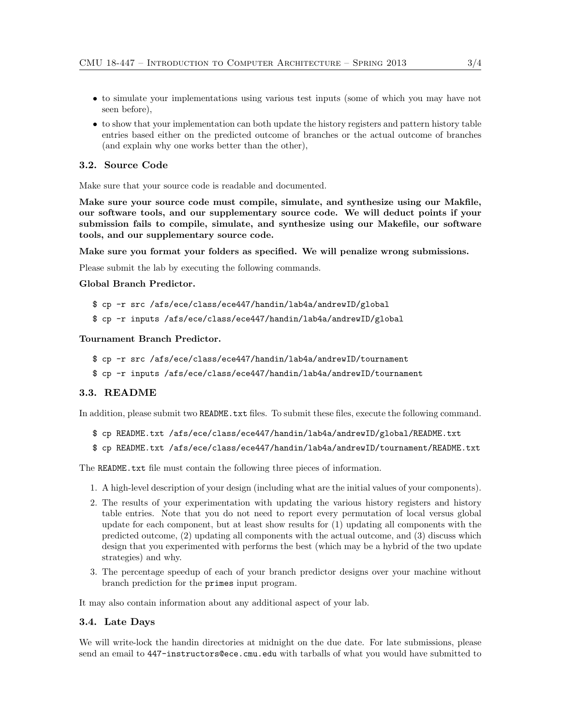- to simulate your implementations using various test inputs (some of which you may have not seen before),
- to show that your implementation can both update the history registers and pattern history table entries based either on the predicted outcome of branches or the actual outcome of branches (and explain why one works better than the other),

## 3.2. Source Code

Make sure that your source code is readable and documented.

Make sure your source code must compile, simulate, and synthesize using our Makfile, our software tools, and our supplementary source code. We will deduct points if your submission fails to compile, simulate, and synthesize using our Makefile, our software tools, and our supplementary source code.

Make sure you format your folders as specified. We will penalize wrong submissions.

Please submit the lab by executing the following commands.

### Global Branch Predictor.

```
$ cp -r src /afs/ece/class/ece447/handin/lab4a/andrewID/global
```

```
$ cp -r inputs /afs/ece/class/ece447/handin/lab4a/andrewID/global
```
## Tournament Branch Predictor.

```
$ cp -r src /afs/ece/class/ece447/handin/lab4a/andrewID/tournament
```
\$ cp -r inputs /afs/ece/class/ece447/handin/lab4a/andrewID/tournament

## 3.3. README

In addition, please submit two README.txt files. To submit these files, execute the following command.

```
$ cp README.txt /afs/ece/class/ece447/handin/lab4a/andrewID/global/README.txt
```

```
$ cp README.txt /afs/ece/class/ece447/handin/lab4a/andrewID/tournament/README.txt
```
The README.txt file must contain the following three pieces of information.

- 1. A high-level description of your design (including what are the initial values of your components).
- 2. The results of your experimentation with updating the various history registers and history table entries. Note that you do not need to report every permutation of local versus global update for each component, but at least show results for (1) updating all components with the predicted outcome, (2) updating all components with the actual outcome, and (3) discuss which design that you experimented with performs the best (which may be a hybrid of the two update strategies) and why.
- 3. The percentage speedup of each of your branch predictor designs over your machine without branch prediction for the primes input program.

It may also contain information about any additional aspect of your lab.

# 3.4. Late Days

We will write-lock the handin directories at midnight on the due date. For late submissions, please send an email to 447-instructors@ece.cmu.edu with tarballs of what you would have submitted to